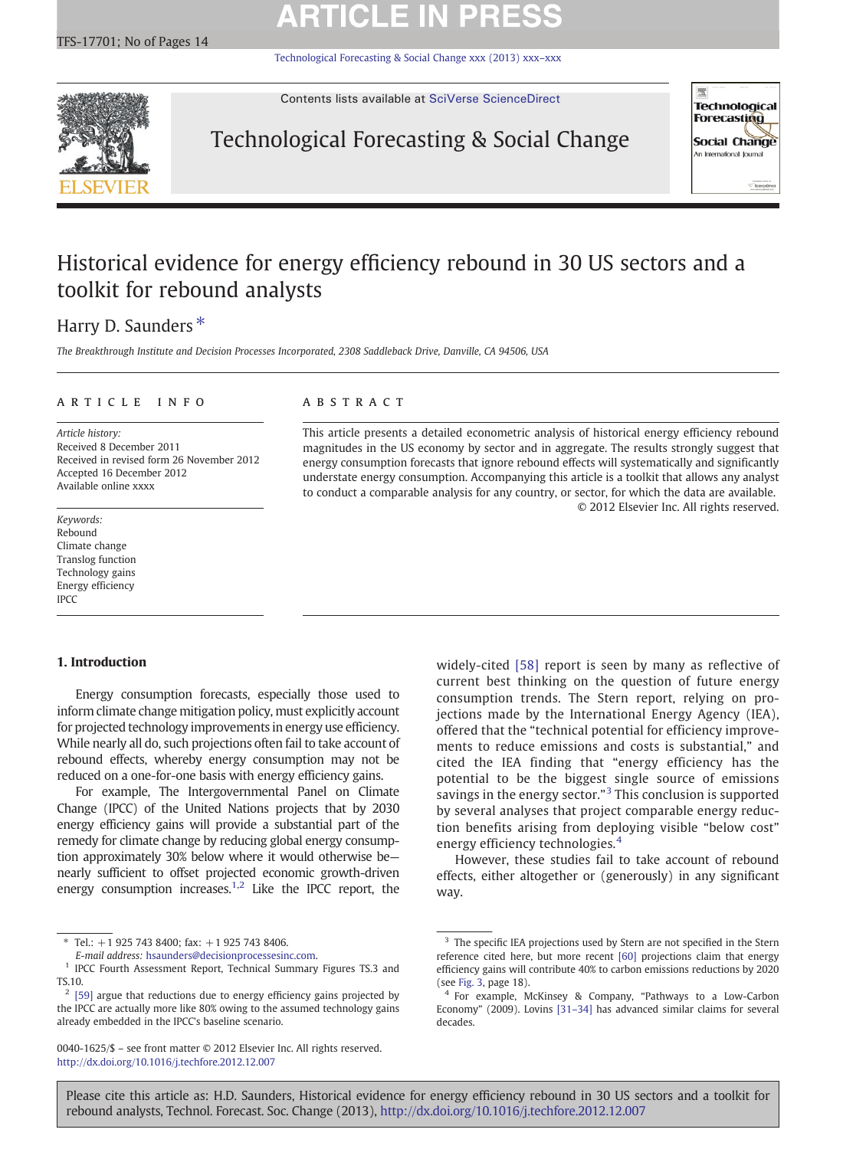# **ARTICLE IN PRESS**

[Technological Forecasting & Social Change xxx \(2013\) xxx](http://dx.doi.org/10.1016/j.techfore.2012.12.007)–xxx



Contents lists available at [SciVerse ScienceDirect](http://www.sciencedirect.com/science/journal/00401625)

# Technological Forecasting & Social Change



# Historical evidence for energy efficiency rebound in 30 US sectors and a toolkit for rebound analysts

## Harry D. Saunders<sup>\*</sup>

The Breakthrough Institute and Decision Processes Incorporated, 2308 Saddleback Drive, Danville, CA 94506, USA

## article info abstract

Article history: Received 8 December 2011 Received in revised form 26 November 2012 Accepted 16 December 2012 Available online xxxx

Keywords: Rebound Climate change Translog function Technology gains Energy efficiency IPCC

## 1. Introduction

Energy consumption forecasts, especially those used to inform climate change mitigation policy, must explicitly account for projected technology improvements in energy use efficiency. While nearly all do, such projections often fail to take account of rebound effects, whereby energy consumption may not be reduced on a one-for-one basis with energy efficiency gains.

For example, The Intergovernmental Panel on Climate Change (IPCC) of the United Nations projects that by 2030 energy efficiency gains will provide a substantial part of the remedy for climate change by reducing global energy consumption approximately 30% below where it would otherwise be nearly sufficient to offset projected economic growth-driven energy consumption increases.<sup>1,2</sup> Like the IPCC report, the

 $*$  Tel.: +1 925 743 8400; fax: +1 925 743 8406.

This article presents a detailed econometric analysis of historical energy efficiency rebound magnitudes in the US economy by sector and in aggregate. The results strongly suggest that energy consumption forecasts that ignore rebound effects will systematically and significantly understate energy consumption. Accompanying this article is a toolkit that allows any analyst to conduct a comparable analysis for any country, or sector, for which the data are available. © 2012 Elsevier Inc. All rights reserved.

> widely-cited [\[58\]](#page--1-0) report is seen by many as reflective of current best thinking on the question of future energy consumption trends. The Stern report, relying on projections made by the International Energy Agency (IEA), offered that the "technical potential for efficiency improvements to reduce emissions and costs is substantial," and cited the IEA finding that "energy efficiency has the potential to be the biggest single source of emissions savings in the energy sector."<sup>3</sup> This conclusion is supported by several analyses that project comparable energy reduction benefits arising from deploying visible "below cost" energy efficiency technologies.<sup>4</sup>

> However, these studies fail to take account of rebound effects, either altogether or (generously) in any significant way.

Please cite this article as: H.D. Saunders, Historical evidence for energy efficiency rebound in 30 US sectors and a toolkit for rebound analysts, Technol. Forecast. Soc. Change (2013), <http://dx.doi.org/10.1016/j.techfore.2012.12.007>

E-mail address: [hsaunders@decisionprocessesinc.com.](mailto:hsaunders@decisionprocessesinc.com)

<sup>1</sup> IPCC Fourth Assessment Report, Technical Summary Figures TS.3 and TS.10.

 $2$  [\[59\]](#page--1-0) argue that reductions due to energy efficiency gains projected by the IPCC are actually more like 80% owing to the assumed technology gains already embedded in the IPCC's baseline scenario.

<sup>0040-1625/\$</sup> – see front matter © 2012 Elsevier Inc. All rights reserved. <http://dx.doi.org/10.1016/j.techfore.2012.12.007>

<sup>&</sup>lt;sup>3</sup> The specific IEA projections used by Stern are not specified in the Stern reference cited here, but more recent [\[60\]](#page--1-0) projections claim that energy efficiency gains will contribute 40% to carbon emissions reductions by 2020 (see [Fig. 3,](#page--1-0) page 18).

<sup>4</sup> For example, McKinsey & Company, "Pathways to a Low-Carbon Economy" (2009). Lovins [31–[34\]](#page--1-0) has advanced similar claims for several decades.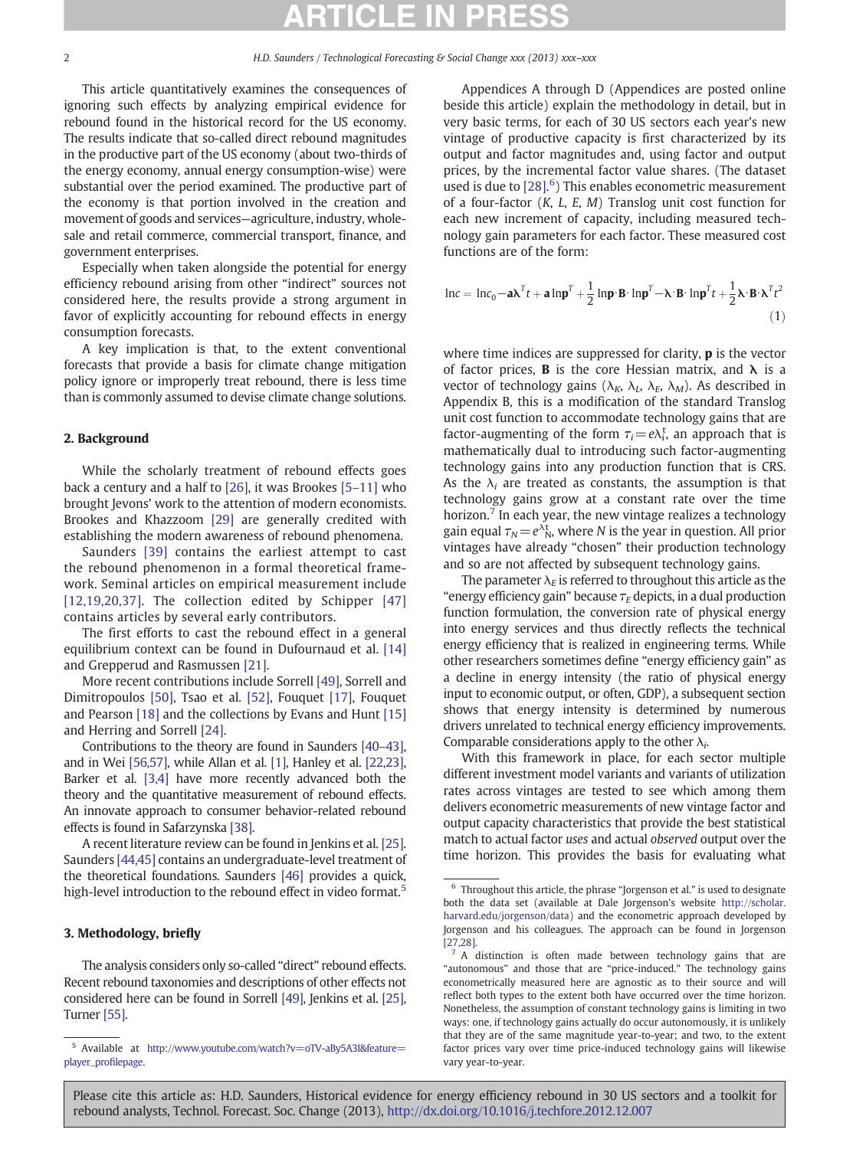This article quantitatively examines the consequences of ignoring such effects by analyzing empirical evidence for rebound found in the historical record for the US economy. The results indicate that so-called direct rebound magnitudes in the productive part of the US economy (about two-thirds of the energy economy, annual energy consumption-wise) were substantial over the period examined. The productive part of the economy is that portion involved in the creation and movement of goods and services—agriculture, industry, wholesale and retail commerce, commercial transport, finance, and government enterprises.

Especially when taken alongside the potential for energy efficiency rebound arising from other "indirect" sources not considered here, the results provide a strong argument in favor of explicitly accounting for rebound effects in energy consumption forecasts.

A key implication is that, to the extent conventional forecasts that provide a basis for climate change mitigation policy ignore or improperly treat rebound, there is less time than is commonly assumed to devise climate change solutions.

## 2. Background

While the scholarly treatment of rebound effects goes back a century and a half to [\[26\]](#page--1-0), it was Brookes [5–[11\]](#page--1-0) who brought Jevons' work to the attention of modern economists. Brookes and Khazzoom [\[29\]](#page--1-0) are generally credited with establishing the modern awareness of rebound phenomena.

Saunders [\[39\]](#page--1-0) contains the earliest attempt to cast the rebound phenomenon in a formal theoretical framework. Seminal articles on empirical measurement include [\[12,19,20,37\]](#page--1-0). The collection edited by Schipper [\[47\]](#page--1-0) contains articles by several early contributors.

The first efforts to cast the rebound effect in a general equilibrium context can be found in Dufournaud et al. [\[14\]](#page--1-0) and Grepperud and Rasmussen [\[21\]](#page--1-0).

More recent contributions include Sorrell [\[49\]](#page--1-0), Sorrell and Dimitropoulos [\[50\],](#page--1-0) Tsao et al. [\[52\]](#page--1-0), Fouquet [\[17\]](#page--1-0), Fouquet and Pearson [\[18\]](#page--1-0) and the collections by Evans and Hunt [\[15\]](#page--1-0) and Herring and Sorrell [\[24\]](#page--1-0).

Contributions to the theory are found in Saunders [40–[43\],](#page--1-0) and in Wei [\[56,57\],](#page--1-0) while Allan et al. [\[1\],](#page--1-0) Hanley et al. [\[22,23\],](#page--1-0) Barker et al. [\[3,4\]](#page--1-0) have more recently advanced both the theory and the quantitative measurement of rebound effects. An innovate approach to consumer behavior-related rebound effects is found in Safarzynska [\[38\].](#page--1-0)

A recent literature review can be found in Jenkins et al. [\[25\].](#page--1-0) Saunders [\[44,45\]](#page--1-0) contains an undergraduate-level treatment of the theoretical foundations. Saunders [\[46\]](#page--1-0) provides a quick, high-level introduction to the rebound effect in video format.<sup>5</sup>

### 3. Methodology, briefly

The analysis considers only so-called "direct" rebound effects. Recent rebound taxonomies and descriptions of other effects not considered here can be found in Sorrell [\[49\],](#page--1-0) Jenkins et al. [\[25\],](#page--1-0) Turner [\[55\].](#page--1-0)

Appendices A through D (Appendices are posted online beside this article) explain the methodology in detail, but in very basic terms, for each of 30 US sectors each year's new vintage of productive capacity is first characterized by its output and factor magnitudes and, using factor and output prices, by the incremental factor value shares. (The dataset used is due to  $[28]$ .<sup>6</sup>) This enables econometric measurement of a four-factor  $(K, L, E, M)$  Translog unit cost function for each new increment of capacity, including measured technology gain parameters for each factor. These measured cost functions are of the form:

$$
\ln c = \ln c_0 - a\lambda^T t + a \ln p^T + \frac{1}{2} \ln p \cdot \mathbf{B} \cdot \ln p^T - \lambda \cdot \mathbf{B} \cdot \ln p^T t + \frac{1}{2} \lambda \cdot \mathbf{B} \cdot \lambda^T t^2
$$
\n(1)

where time indices are suppressed for clarity,  $\bf{p}$  is the vector of factor prices, **B** is the core Hessian matrix, and  $\lambda$  is a vector of technology gains ( $\lambda_K$ ,  $\lambda_L$ ,  $\lambda_E$ ,  $\lambda_M$ ). As described in Appendix B, this is a modification of the standard Translog unit cost function to accommodate technology gains that are factor-augmenting of the form  $\tau_i = e\lambda_i^t$ , an approach that is mathematically dual to introducing such factor-augmenting technology gains into any production function that is CRS. As the  $\lambda_i$  are treated as constants, the assumption is that technology gains grow at a constant rate over the time horizon.<sup>7</sup> In each year, the new vintage realizes a technology gain equal  $\tau_N = e^{\lambda t}$ <sub>N</sub>, where N is the year in question. All prior vintages have already "chosen" their production technology and so are not affected by subsequent technology gains.

The parameter  $\lambda_F$  is referred to throughout this article as the "energy efficiency gain" because  $\tau_E$  depicts, in a dual production function formulation, the conversion rate of physical energy into energy services and thus directly reflects the technical energy efficiency that is realized in engineering terms. While other researchers sometimes define "energy efficiency gain" as a decline in energy intensity (the ratio of physical energy input to economic output, or often, GDP), a subsequent section shows that energy intensity is determined by numerous drivers unrelated to technical energy efficiency improvements. Comparable considerations apply to the other  $\lambda_i$ .

With this framework in place, for each sector multiple different investment model variants and variants of utilization rates across vintages are tested to see which among them delivers econometric measurements of new vintage factor and output capacity characteristics that provide the best statistical match to actual factor uses and actual observed output over the time horizon. This provides the basis for evaluating what

Please cite this article as: H.D. Saunders, Historical evidence for energy efficiency rebound in 30 US sectors and a toolkit for rebound analysts, Technol. Forecast. Soc. Change (2013), <http://dx.doi.org/10.1016/j.techfore.2012.12.007>

<sup>5</sup> Available at [http://www.youtube.com/watch?v=oTV-aBy5A3I&feature=](http://www.youtube.com/watch?v=oTV-aBy5A3I&feature=player_profilepage) [player\\_pro](http://www.youtube.com/watch?v=oTV-aBy5A3I&feature=player_profilepage)filepage.

<sup>6</sup> Throughout this article, the phrase "Jorgenson et al." is used to designate both the data set (available at Dale Jorgenson's website [http://scholar.](http://scholar.harvard.edu/jorgenson/data) [harvard.edu/jorgenson/data\)](http://scholar.harvard.edu/jorgenson/data) and the econometric approach developed by Jorgenson and his colleagues. The approach can be found in Jorgenson [\[27,28\].](#page--1-0)

 $7 A$  distinction is often made between technology gains that are "autonomous" and those that are "price-induced." The technology gains econometrically measured here are agnostic as to their source and will reflect both types to the extent both have occurred over the time horizon. Nonetheless, the assumption of constant technology gains is limiting in two ways: one, if technology gains actually do occur autonomously, it is unlikely that they are of the same magnitude year-to-year; and two, to the extent factor prices vary over time price-induced technology gains will likewise vary year-to-year.